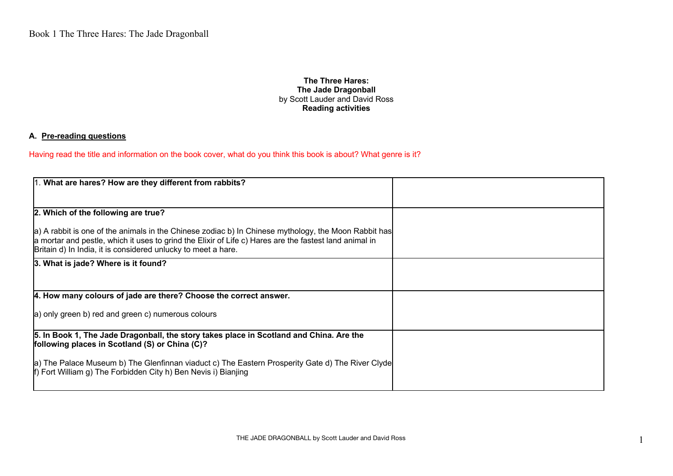## **The Three Hares: The Jade Dragonball** by Scott Lauder and David Ross **Reading activities**

## **A. Pre-reading questions**

Having read the title and information on the book cover, what do you think this book is about? What genre is it?

| 1. What are hares? How are they different from rabbits?                                                                                                                                                                                                                         |  |
|---------------------------------------------------------------------------------------------------------------------------------------------------------------------------------------------------------------------------------------------------------------------------------|--|
|                                                                                                                                                                                                                                                                                 |  |
| 2. Which of the following are true?                                                                                                                                                                                                                                             |  |
| a) A rabbit is one of the animals in the Chinese zodiac b) In Chinese mythology, the Moon Rabbit has<br>a mortar and pestle, which it uses to grind the Elixir of Life c) Hares are the fastest land animal in<br>Britain d) In India, it is considered unlucky to meet a hare. |  |
| 3. What is jade? Where is it found?                                                                                                                                                                                                                                             |  |
| 4. How many colours of jade are there? Choose the correct answer.                                                                                                                                                                                                               |  |
| a) only green b) red and green c) numerous colours                                                                                                                                                                                                                              |  |
| 5. In Book 1, The Jade Dragonball, the story takes place in Scotland and China. Are the<br>following places in Scotland (S) or China (C)?                                                                                                                                       |  |
| a) The Palace Museum b) The Glenfinnan viaduct c) The Eastern Prosperity Gate d) The River Clyde<br>ff) Fort William g) The Forbidden City h) Ben Nevis i) Bianjing                                                                                                             |  |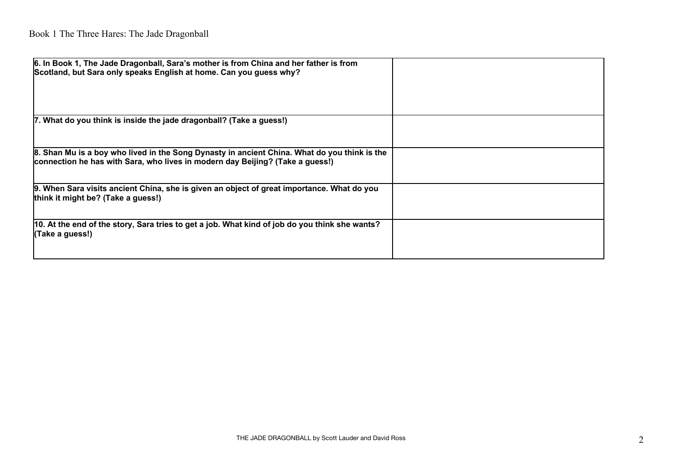| 6. In Book 1, The Jade Dragonball, Sara's mother is from China and her father is from<br>Scotland, but Sara only speaks English at home. Can you guess why?                   |  |
|-------------------------------------------------------------------------------------------------------------------------------------------------------------------------------|--|
| 7. What do you think is inside the jade dragonball? (Take a guess!)                                                                                                           |  |
| 8. Shan Mu is a boy who lived in the Song Dynasty in ancient China. What do you think is the<br>connection he has with Sara, who lives in modern day Beijing? (Take a guess!) |  |
| 9. When Sara visits ancient China, she is given an object of great importance. What do you<br>think it might be? (Take a guess!)                                              |  |
| 10. At the end of the story, Sara tries to get a job. What kind of job do you think she wants?<br>(Take a guess!)                                                             |  |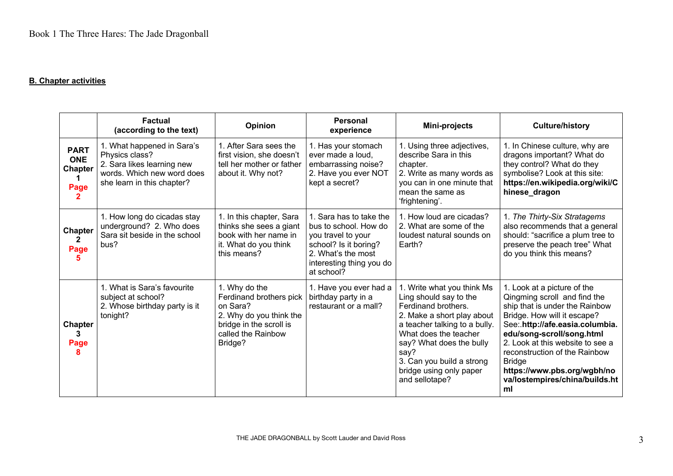## **B. Chapter activities**

|                                                     | <b>Factual</b><br>(according to the text)                                                                                              | Opinion                                                                                                                                     | <b>Personal</b><br>experience                                                                                                                                   | Mini-projects                                                                                                                                                                                                                                                                     | <b>Culture/history</b>                                                                                                                                                                                                                                                                                                                                    |
|-----------------------------------------------------|----------------------------------------------------------------------------------------------------------------------------------------|---------------------------------------------------------------------------------------------------------------------------------------------|-----------------------------------------------------------------------------------------------------------------------------------------------------------------|-----------------------------------------------------------------------------------------------------------------------------------------------------------------------------------------------------------------------------------------------------------------------------------|-----------------------------------------------------------------------------------------------------------------------------------------------------------------------------------------------------------------------------------------------------------------------------------------------------------------------------------------------------------|
| <b>PART</b><br><b>ONE</b><br><b>Chapter</b><br>Page | 1. What happened in Sara's<br>Physics class?<br>2. Sara likes learning new<br>words. Which new word does<br>she learn in this chapter? | 1. After Sara sees the<br>first vision, she doesn't<br>tell her mother or father<br>about it. Why not?                                      | 1. Has your stomach<br>ever made a loud,<br>embarrassing noise?<br>2. Have you ever NOT<br>kept a secret?                                                       | 1. Using three adjectives,<br>describe Sara in this<br>chapter.<br>2. Write as many words as<br>you can in one minute that<br>mean the same as<br>'frightening'.                                                                                                                  | 1. In Chinese culture, why are<br>dragons important? What do<br>they control? What do they<br>symbolise? Look at this site:<br>https://en.wikipedia.org/wiki/C<br>hinese_dragon                                                                                                                                                                           |
| <b>Chapter</b><br>$\mathbf{2}$<br>Page              | 1. How long do cicadas stay<br>underground? 2. Who does<br>Sara sit beside in the school<br>bus?                                       | 1. In this chapter, Sara<br>thinks she sees a giant<br>book with her name in<br>it. What do you think<br>this means?                        | 1. Sara has to take the<br>bus to school. How do<br>you travel to your<br>school? Is it boring?<br>2. What's the most<br>interesting thing you do<br>at school? | 1. How loud are cicadas?<br>2. What are some of the<br>loudest natural sounds on<br>Earth?                                                                                                                                                                                        | 1. The Thirty-Six Stratagems<br>also recommends that a general<br>should: "sacrifice a plum tree to<br>preserve the peach tree" What<br>do you think this means?                                                                                                                                                                                          |
| <b>Chapter</b><br>3<br>Page<br>8                    | 1. What is Sara's favourite<br>subject at school?<br>2. Whose birthday party is it<br>tonight?                                         | 1. Why do the<br>Ferdinand brothers pick<br>on Sara?<br>2. Why do you think the<br>bridge in the scroll is<br>called the Rainbow<br>Bridge? | 1. Have you ever had a<br>birthday party in a<br>restaurant or a mall?                                                                                          | 1. Write what you think Ms<br>Ling should say to the<br>Ferdinand brothers.<br>2. Make a short play about<br>a teacher talking to a bully.<br>What does the teacher<br>say? What does the bully<br>say?<br>3. Can you build a strong<br>bridge using only paper<br>and sellotape? | 1. Look at a picture of the<br>Qingming scroll and find the<br>ship that is under the Rainbow<br>Bridge. How will it escape?<br>See:.http://afe.easia.columbia.<br>edu/song-scroll/song.html<br>2. Look at this website to see a<br>reconstruction of the Rainbow<br><b>Bridge</b><br>https://www.pbs.org/wgbh/no<br>va/lostempires/china/builds.ht<br>ml |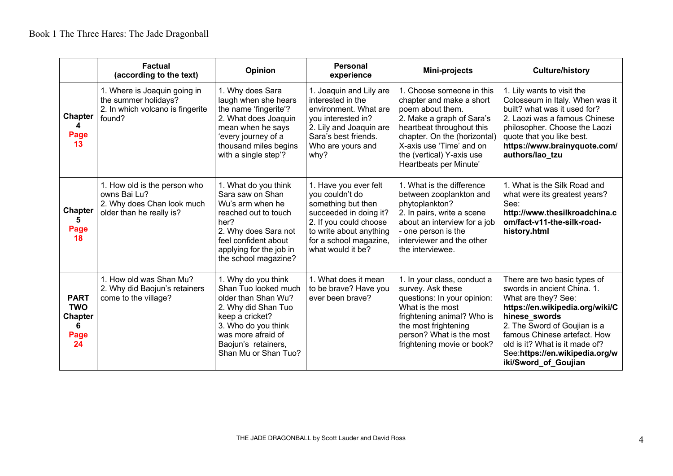|                                                                | <b>Factual</b><br>(according to the text)                                                              | Opinion                                                                                                                                                                                                  | <b>Personal</b><br>experience                                                                                                                                                                | Mini-projects                                                                                                                                                                                                                                          | <b>Culture/history</b>                                                                                                                                                                                                                                                                             |
|----------------------------------------------------------------|--------------------------------------------------------------------------------------------------------|----------------------------------------------------------------------------------------------------------------------------------------------------------------------------------------------------------|----------------------------------------------------------------------------------------------------------------------------------------------------------------------------------------------|--------------------------------------------------------------------------------------------------------------------------------------------------------------------------------------------------------------------------------------------------------|----------------------------------------------------------------------------------------------------------------------------------------------------------------------------------------------------------------------------------------------------------------------------------------------------|
| <b>Chapter</b><br>Page<br>13                                   | 1. Where is Joaquin going in<br>the summer holidays?<br>2. In which volcano is fingerite<br>found?     | 1. Why does Sara<br>laugh when she hears<br>the name 'fingerite'?<br>2. What does Joaquin<br>mean when he says<br>'every journey of a<br>thousand miles begins<br>with a single step'?                   | 1. Joaquin and Lily are<br>interested in the<br>environment. What are<br>you interested in?<br>2. Lily and Joaquin are<br>Sara's best friends.<br>Who are yours and<br>why?                  | 1. Choose someone in this<br>chapter and make a short<br>poem about them.<br>2. Make a graph of Sara's<br>heartbeat throughout this<br>chapter. On the (horizontal)<br>X-axis use 'Time' and on<br>the (vertical) Y-axis use<br>Heartbeats per Minute' | 1. Lily wants to visit the<br>Colosseum in Italy. When was it<br>built? what was it used for?<br>2. Laozi was a famous Chinese<br>philosopher. Choose the Laozi<br>quote that you like best.<br>https://www.brainyquote.com/<br>authors/lao tzu                                                    |
| <b>Chapter</b><br>5.<br>Page<br>18                             | 1. How old is the person who<br>owns Bai Lu?<br>2. Why does Chan look much<br>older than he really is? | 1. What do you think<br>Sara saw on Shan<br>Wu's arm when he<br>reached out to touch<br>her?<br>2. Why does Sara not<br>feel confident about<br>applying for the job in<br>the school magazine?          | 1. Have you ever felt<br>you couldn't do<br>something but then<br>succeeded in doing it?<br>2. If you could choose<br>to write about anything<br>for a school magazine,<br>what would it be? | 1. What is the difference<br>between zooplankton and<br>phytoplankton?<br>2. In pairs, write a scene<br>about an interview for a job<br>- one person is the<br>interviewer and the other<br>the interviewee.                                           | 1. What is the Silk Road and<br>what were its greatest years?<br>See:<br>http://www.thesilkroadchina.c<br>om/fact-v11-the-silk-road-<br>history.html                                                                                                                                               |
| <b>PART</b><br><b>TWO</b><br><b>Chapter</b><br>6<br>Page<br>24 | 1. How old was Shan Mu?<br>2. Why did Baojun's retainers<br>come to the village?                       | 1. Why do you think<br>Shan Tuo looked much<br>older than Shan Wu?<br>2. Why did Shan Tuo<br>keep a cricket?<br>3. Who do you think<br>was more afraid of<br>Baojun's retainers,<br>Shan Mu or Shan Tuo? | 1. What does it mean<br>to be brave? Have you<br>ever been brave?                                                                                                                            | 1. In your class, conduct a<br>survey. Ask these<br>questions: In your opinion:<br>What is the most<br>frightening animal? Who is<br>the most frightening<br>person? What is the most<br>frightening movie or book?                                    | There are two basic types of<br>swords in ancient China. 1.<br>What are they? See:<br>https://en.wikipedia.org/wiki/C<br>hinese swords<br>2. The Sword of Goujian is a<br>famous Chinese artefact. How<br>old is it? What is it made of?<br>See:https://en.wikipedia.org/w<br>iki/Sword_of_Goujian |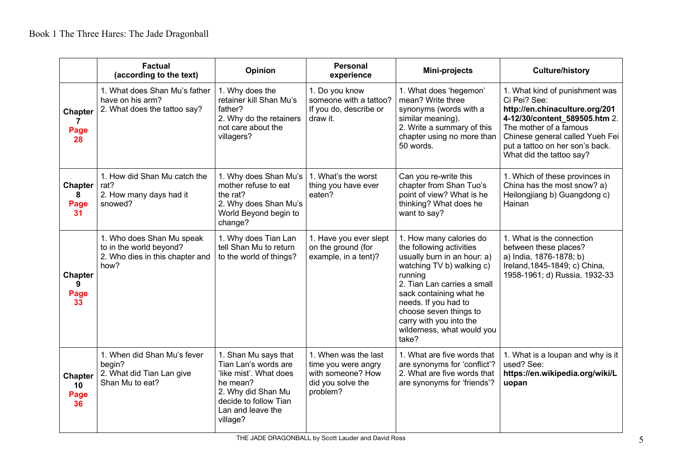|                                    | <b>Factual</b><br>(according to the text)                                                       | Opinion                                                                                                                                                            | <b>Personal</b><br>experience                                                                     | Mini-projects                                                                                                                                                                                                                                                                                            | <b>Culture/history</b>                                                                                                                                                                                                                        |
|------------------------------------|-------------------------------------------------------------------------------------------------|--------------------------------------------------------------------------------------------------------------------------------------------------------------------|---------------------------------------------------------------------------------------------------|----------------------------------------------------------------------------------------------------------------------------------------------------------------------------------------------------------------------------------------------------------------------------------------------------------|-----------------------------------------------------------------------------------------------------------------------------------------------------------------------------------------------------------------------------------------------|
| <b>Chapter</b><br>7<br>Page<br>28  | 1. What does Shan Mu's father<br>have on his arm?<br>2. What does the tattoo say?               | 1. Why does the<br>retainer kill Shan Mu's<br>father?<br>2. Why do the retainers<br>not care about the<br>villagers?                                               | 1. Do you know<br>someone with a tattoo?<br>If you do, describe or<br>draw it.                    | 1. What does 'hegemon'<br>mean? Write three<br>synonyms (words with a<br>similar meaning).<br>2. Write a summary of this<br>chapter using no more than<br>50 words.                                                                                                                                      | 1. What kind of punishment was<br>Ci Pei? See:<br>http://en.chinaculture.org/201<br>4-12/30/content_589505.htm 2.<br>The mother of a famous<br>Chinese general called Yueh Fei<br>put a tattoo on her son's back.<br>What did the tattoo say? |
| <b>Chapter</b><br>8<br>Page<br>31  | 1. How did Shan Mu catch the<br>rat?<br>2. How many days had it<br>snowed?                      | 1. Why does Shan Mu's<br>mother refuse to eat<br>the rat?<br>2. Why does Shan Mu's<br>World Beyond begin to<br>change?                                             | 1. What's the worst<br>thing you have ever<br>eaten?                                              | Can you re-write this<br>chapter from Shan Tuo's<br>point of view? What is he<br>thinking? What does he<br>want to say?                                                                                                                                                                                  | 1. Which of these provinces in<br>China has the most snow? a)<br>Heilongjiang b) Guangdong c)<br>Hainan                                                                                                                                       |
| <b>Chapter</b><br>9<br>Page<br>33  | 1. Who does Shan Mu speak<br>to in the world beyond?<br>2. Who dies in this chapter and<br>how? | 1. Why does Tian Lan<br>tell Shan Mu to return<br>to the world of things?                                                                                          | 1. Have you ever slept<br>on the ground (for<br>example, in a tent)?                              | 1. How many calories do<br>the following activities<br>usually burn in an hour: a)<br>watching TV b) walking c)<br>running<br>2. Tian Lan carries a small<br>sack containing what he<br>needs. If you had to<br>choose seven things to<br>carry with you into the<br>wilderness, what would you<br>take? | 1. What is the connection<br>between these places?<br>a) India, 1876-1878; b)<br>Ireland, 1845-1849; c) China,<br>1958-1961; d) Russia, 1932-33                                                                                               |
| <b>Chapter</b><br>10<br>Page<br>36 | 1. When did Shan Mu's fever<br>begin?<br>2. What did Tian Lan give<br>Shan Mu to eat?           | 1. Shan Mu says that<br>Tian Lan's words are<br>'like mist'. What does<br>he mean?<br>2. Why did Shan Mu<br>decide to follow Tian<br>Lan and leave the<br>village? | 1. When was the last<br>time you were angry<br>with someone? How<br>did you solve the<br>problem? | 1. What are five words that<br>are synonyms for 'conflict'?<br>2. What are five words that<br>are synonyms for 'friends'?                                                                                                                                                                                | 1. What is a loupan and why is it<br>used? See:<br>https://en.wikipedia.org/wiki/L<br>uopan                                                                                                                                                   |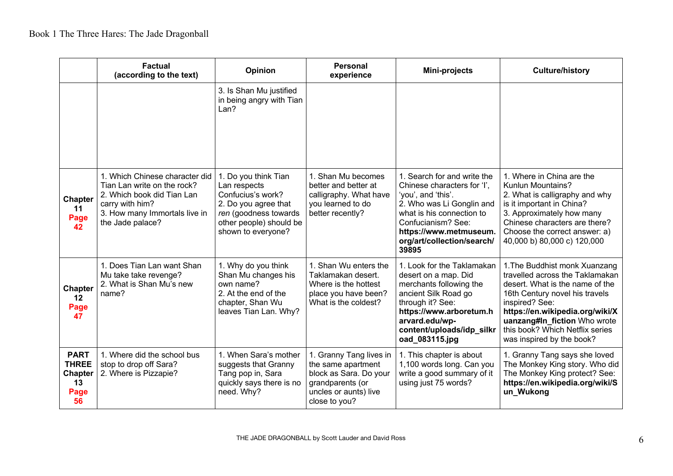|                                                                   | <b>Factual</b><br>(according to the text)                                                                                                                           | <b>Opinion</b>                                                                                                                                              | <b>Personal</b><br>experience                                                                                                         | Mini-projects                                                                                                                                                                                                                     | <b>Culture/history</b>                                                                                                                                                                                                                                                                     |
|-------------------------------------------------------------------|---------------------------------------------------------------------------------------------------------------------------------------------------------------------|-------------------------------------------------------------------------------------------------------------------------------------------------------------|---------------------------------------------------------------------------------------------------------------------------------------|-----------------------------------------------------------------------------------------------------------------------------------------------------------------------------------------------------------------------------------|--------------------------------------------------------------------------------------------------------------------------------------------------------------------------------------------------------------------------------------------------------------------------------------------|
|                                                                   |                                                                                                                                                                     | 3. Is Shan Mu justified<br>in being angry with Tian<br>Lan?                                                                                                 |                                                                                                                                       |                                                                                                                                                                                                                                   |                                                                                                                                                                                                                                                                                            |
| <b>Chapter</b><br>11<br>Page<br>42                                | 1. Which Chinese character did<br>Tian Lan write on the rock?<br>2. Which book did Tian Lan<br>carry with him?<br>3. How many Immortals live in<br>the Jade palace? | 1. Do you think Tian<br>Lan respects<br>Confucius's work?<br>2. Do you agree that<br>ren (goodness towards<br>other people) should be<br>shown to everyone? | 1. Shan Mu becomes<br>better and better at<br>calligraphy. What have<br>you learned to do<br>better recently?                         | 1. Search for and write the<br>Chinese characters for 'I',<br>'you', and 'this'.<br>2. Who was Li Gonglin and<br>what is his connection to<br>Confucianism? See:<br>https://www.metmuseum.<br>org/art/collection/search/<br>39895 | 1. Where in China are the<br><b>Kunlun Mountains?</b><br>2. What is calligraphy and why<br>is it important in China?<br>3. Approximately how many<br>Chinese characters are there?<br>Choose the correct answer: a)<br>40,000 b) 80,000 c) 120,000                                         |
| <b>Chapter</b><br>12<br>Page<br>47                                | 1. Does Tian Lan want Shan<br>Mu take take revenge?<br>2. What is Shan Mu's new<br>name?                                                                            | 1. Why do you think<br>Shan Mu changes his<br>own name?<br>2. At the end of the<br>chapter, Shan Wu<br>leaves Tian Lan. Why?                                | 1. Shan Wu enters the<br>Taklamakan desert.<br>Where is the hottest<br>place you have been?<br>What is the coldest?                   | 1. Look for the Taklamakan<br>desert on a map. Did<br>merchants following the<br>ancient Silk Road go<br>through it? See:<br>https://www.arboretum.h<br>arvard.edu/wp-<br>content/uploads/idp_silkr<br>oad_083115.jpg             | 1. The Buddhist monk Xuanzang<br>travelled across the Taklamakan<br>desert. What is the name of the<br>16th Century novel his travels<br>inspired? See:<br>https://en.wikipedia.org/wiki/X<br>uanzang#In fiction Who wrote<br>this book? Which Netflix series<br>was inspired by the book? |
| <b>PART</b><br><b>THREE</b><br><b>Chapter</b><br>13<br>Page<br>56 | 1. Where did the school bus<br>stop to drop off Sara?<br>2. Where is Pizzapie?                                                                                      | 1. When Sara's mother<br>suggests that Granny<br>Tang pop in, Sara<br>quickly says there is no<br>need. Why?                                                | 1. Granny Tang lives in<br>the same apartment<br>block as Sara. Do your<br>grandparents (or<br>uncles or aunts) live<br>close to you? | 1. This chapter is about<br>1,100 words long. Can you<br>write a good summary of it<br>using just 75 words?                                                                                                                       | 1. Granny Tang says she loved<br>The Monkey King story. Who did<br>The Monkey King protect? See:<br>https://en.wikipedia.org/wiki/S<br>un Wukong                                                                                                                                           |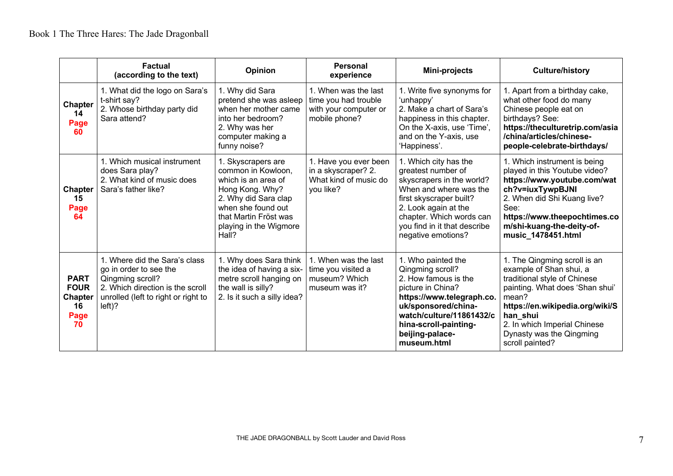|                                                                  | <b>Factual</b><br>(according to the text)                                                                                                                           | <b>Opinion</b>                                                                                                                                                                               | Personal<br>experience                                                                 | Mini-projects                                                                                                                                                                                                                           | <b>Culture/history</b>                                                                                                                                                                                                                                            |
|------------------------------------------------------------------|---------------------------------------------------------------------------------------------------------------------------------------------------------------------|----------------------------------------------------------------------------------------------------------------------------------------------------------------------------------------------|----------------------------------------------------------------------------------------|-----------------------------------------------------------------------------------------------------------------------------------------------------------------------------------------------------------------------------------------|-------------------------------------------------------------------------------------------------------------------------------------------------------------------------------------------------------------------------------------------------------------------|
| <b>Chapter</b><br>14<br>Page<br>60                               | 1. What did the logo on Sara's<br>t-shirt say?<br>2. Whose birthday party did<br>Sara attend?                                                                       | 1. Why did Sara<br>pretend she was asleep<br>when her mother came<br>into her bedroom?<br>2. Why was her<br>computer making a<br>funny noise?                                                | 1. When was the last<br>time you had trouble<br>with your computer or<br>mobile phone? | 1. Write five synonyms for<br>'unhappy'<br>2. Make a chart of Sara's<br>happiness in this chapter.<br>On the X-axis, use 'Time',<br>and on the Y-axis, use<br>'Happiness'.                                                              | 1. Apart from a birthday cake,<br>what other food do many<br>Chinese people eat on<br>birthdays? See:<br>https://theculturetrip.com/asia<br>/china/articles/chinese-<br>people-celebrate-birthdays/                                                               |
| <b>Chapter</b><br>15<br>Page<br>64                               | 1. Which musical instrument<br>does Sara play?<br>2. What kind of music does<br>Sara's father like?                                                                 | 1. Skyscrapers are<br>common in Kowloon,<br>which is an area of<br>Hong Kong. Why?<br>2. Why did Sara clap<br>when she found out<br>that Martin Fröst was<br>playing in the Wigmore<br>Hall? | 1. Have you ever been<br>in a skyscraper? 2.<br>What kind of music do<br>you like?     | 1. Which city has the<br>greatest number of<br>skyscrapers in the world?<br>When and where was the<br>first skyscraper built?<br>2. Look again at the<br>chapter. Which words can<br>you find in it that describe<br>negative emotions? | 1. Which instrument is being<br>played in this Youtube video?<br>https://www.youtube.com/wat<br>ch?v=iuxTywpBJNI<br>2. When did Shi Kuang live?<br>See:<br>https://www.theepochtimes.co<br>m/shi-kuang-the-deity-of-<br>music 1478451.html                        |
| <b>PART</b><br><b>FOUR</b><br><b>Chapter</b><br>16<br>Page<br>70 | 1. Where did the Sara's class<br>go in order to see the<br>Qingming scroll?<br>2. Which direction is the scroll<br>unrolled (left to right or right to<br>$left)$ ? | 1. Why does Sara think<br>the idea of having a six-<br>metre scroll hanging on<br>the wall is silly?<br>2. Is it such a silly idea?                                                          | 1. When was the last<br>time you visited a<br>museum? Which<br>museum was it?          | 1. Who painted the<br>Qingming scroll?<br>2. How famous is the<br>picture in China?<br>https://www.telegraph.co.<br>uk/sponsored/china-<br>watch/culture/11861432/c<br>hina-scroll-painting-<br>beijing-palace-<br>museum.html          | 1. The Qingming scroll is an<br>example of Shan shui, a<br>traditional style of Chinese<br>painting. What does 'Shan shui'<br>mean?<br>https://en.wikipedia.org/wiki/S<br>han shui<br>2. In which Imperial Chinese<br>Dynasty was the Qingming<br>scroll painted? |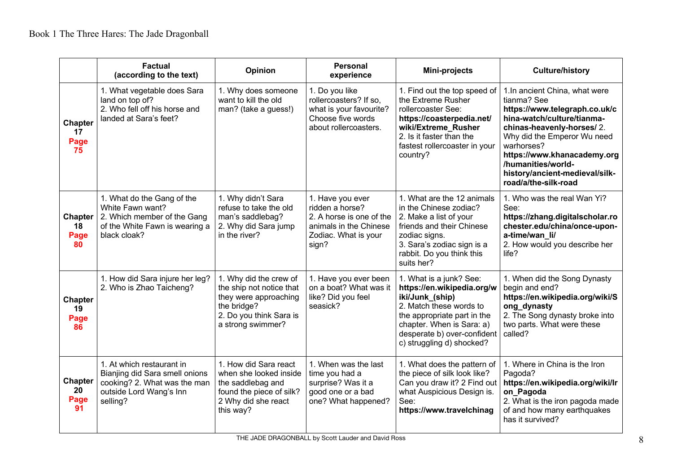|                                    | <b>Factual</b><br>(according to the text)                                                                                          | Opinion                                                                                                                                    | <b>Personal</b><br>experience                                                                                              | Mini-projects                                                                                                                                                                                                               | <b>Culture/history</b>                                                                                                                                                                                                                                                                               |
|------------------------------------|------------------------------------------------------------------------------------------------------------------------------------|--------------------------------------------------------------------------------------------------------------------------------------------|----------------------------------------------------------------------------------------------------------------------------|-----------------------------------------------------------------------------------------------------------------------------------------------------------------------------------------------------------------------------|------------------------------------------------------------------------------------------------------------------------------------------------------------------------------------------------------------------------------------------------------------------------------------------------------|
| <b>Chapter</b><br>17<br>Page<br>75 | 1. What vegetable does Sara<br>land on top of?<br>2. Who fell off his horse and<br>landed at Sara's feet?                          | 1. Why does someone<br>want to kill the old<br>man? (take a guess!)                                                                        | 1. Do you like<br>rollercoasters? If so,<br>what is your favourite?<br>Choose five words<br>about rollercoasters.          | 1. Find out the top speed of<br>the Extreme Rusher<br>rollercoaster See:<br>https://coasterpedia.net/<br>wiki/Extreme_Rusher<br>2. Is it faster than the<br>fastest rollercoaster in your<br>country?                       | 1.In ancient China, what were<br>tianma? See<br>https://www.telegraph.co.uk/c<br>hina-watch/culture/tianma-<br>chinas-heavenly-horses/2.<br>Why did the Emperor Wu need<br>warhorses?<br>https://www.khanacademy.org<br>/humanities/world-<br>history/ancient-medieval/silk-<br>road/a/the-silk-road |
| <b>Chapter</b><br>18<br>Page<br>80 | 1. What do the Gang of the<br>White Fawn want?<br>2. Which member of the Gang<br>of the White Fawn is wearing a<br>black cloak?    | 1. Why didn't Sara<br>refuse to take the old<br>man's saddlebag?<br>2. Why did Sara jump<br>in the river?                                  | 1. Have you ever<br>ridden a horse?<br>2. A horse is one of the<br>animals in the Chinese<br>Zodiac. What is your<br>sign? | 1. What are the 12 animals<br>in the Chinese zodiac?<br>2. Make a list of your<br>friends and their Chinese<br>zodiac signs.<br>3. Sara's zodiac sign is a<br>rabbit. Do you think this<br>suits her?                       | 1. Who was the real Wan Yi?<br>See:<br>https://zhang.digitalscholar.ro<br>chester.edu/china/once-upon-<br>a-time/wan li/<br>2. How would you describe her<br>life?                                                                                                                                   |
| <b>Chapter</b><br>19<br>Page<br>86 | 1. How did Sara injure her leg?<br>2. Who is Zhao Taicheng?                                                                        | 1. Why did the crew of<br>the ship not notice that<br>they were approaching<br>the bridge?<br>2. Do you think Sara is<br>a strong swimmer? | 1. Have you ever been<br>on a boat? What was it<br>like? Did you feel<br>seasick?                                          | 1. What is a junk? See:<br>https://en.wikipedia.org/w<br>iki/Junk (ship)<br>2. Match these words to<br>the appropriate part in the<br>chapter. When is Sara: a)<br>desperate b) over-confident<br>c) struggling d) shocked? | 1. When did the Song Dynasty<br>begin and end?<br>https://en.wikipedia.org/wiki/S<br>ong dynasty<br>2. The Song dynasty broke into<br>two parts. What were these<br>called?                                                                                                                          |
| <b>Chapter</b><br>20<br>Page<br>91 | 1. At which restaurant in<br>Bianjing did Sara smell onions<br>cooking? 2. What was the man<br>outside Lord Wang's Inn<br>selling? | 1. How did Sara react<br>when she looked inside<br>the saddlebag and<br>found the piece of silk?<br>2 Why did she react<br>this way?       | 1. When was the last<br>time you had a<br>surprise? Was it a<br>good one or a bad<br>one? What happened?                   | 1. What does the pattern of<br>the piece of silk look like?<br>Can you draw it? 2 Find out<br>what Auspicious Design is.<br>See:<br>https://www.travelchinag                                                                | 1. Where in China is the Iron<br>Pagoda?<br>https://en.wikipedia.org/wiki/lr<br>on Pagoda<br>2. What is the iron pagoda made<br>of and how many earthquakes<br>has it survived?                                                                                                                      |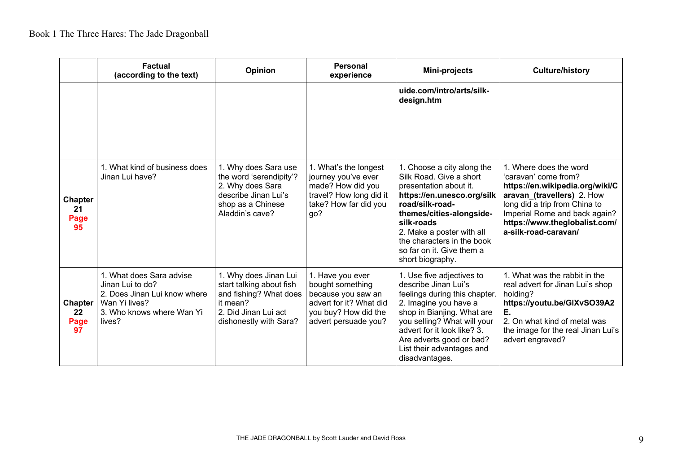|                                    | <b>Factual</b><br>(according to the text)                                                                                            | <b>Opinion</b>                                                                                                                            | <b>Personal</b><br>experience                                                                                                         | Mini-projects                                                                                                                                                                                                                                                                          | <b>Culture/history</b>                                                                                                                                                                                                                     |
|------------------------------------|--------------------------------------------------------------------------------------------------------------------------------------|-------------------------------------------------------------------------------------------------------------------------------------------|---------------------------------------------------------------------------------------------------------------------------------------|----------------------------------------------------------------------------------------------------------------------------------------------------------------------------------------------------------------------------------------------------------------------------------------|--------------------------------------------------------------------------------------------------------------------------------------------------------------------------------------------------------------------------------------------|
|                                    |                                                                                                                                      |                                                                                                                                           |                                                                                                                                       | uide.com/intro/arts/silk-<br>design.htm                                                                                                                                                                                                                                                |                                                                                                                                                                                                                                            |
| <b>Chapter</b><br>21<br>Page<br>95 | 1. What kind of business does<br>Jinan Lui have?                                                                                     | 1. Why does Sara use<br>the word 'serendipity'?<br>2. Why does Sara<br>describe Jinan Lui's<br>shop as a Chinese<br>Aladdin's cave?       | 1. What's the longest<br>journey you've ever<br>made? How did you<br>travel? How long did it<br>take? How far did you<br>go?          | 1. Choose a city along the<br>Silk Road. Give a short<br>presentation about it.<br>https://en.unesco.org/silk<br>road/silk-road-<br>themes/cities-alongside-<br>silk-roads<br>2. Make a poster with all<br>the characters in the book<br>so far on it. Give them a<br>short biography. | 1. Where does the word<br>'caravan' come from?<br>https://en.wikipedia.org/wiki/C<br>aravan (travellers) 2. How<br>long did a trip from China to<br>Imperial Rome and back again?<br>https://www.theglobalist.com/<br>a-silk-road-caravan/ |
| <b>Chapter</b><br>22<br>Page<br>97 | 1. What does Sara advise<br>Jinan Lui to do?<br>2. Does Jinan Lui know where<br>Wan Yi lives?<br>3. Who knows where Wan Yi<br>lives? | 1. Why does Jinan Lui<br>start talking about fish<br>and fishing? What does<br>it mean?<br>2. Did Jinan Lui act<br>dishonestly with Sara? | 1. Have you ever<br>bought something<br>because you saw an<br>advert for it? What did<br>you buy? How did the<br>advert persuade you? | 1. Use five adjectives to<br>describe Jinan Lui's<br>feelings during this chapter.<br>2. Imagine you have a<br>shop in Bianjing. What are<br>you selling? What will your<br>advert for it look like? 3.<br>Are adverts good or bad?<br>List their advantages and<br>disadvantages.     | 1. What was the rabbit in the<br>real advert for Jinan Lui's shop<br>holding?<br>https://youtu.be/GIXvSO39A2<br>Ε.<br>2. On what kind of metal was<br>the image for the real Jinan Lui's<br>advert engraved?                               |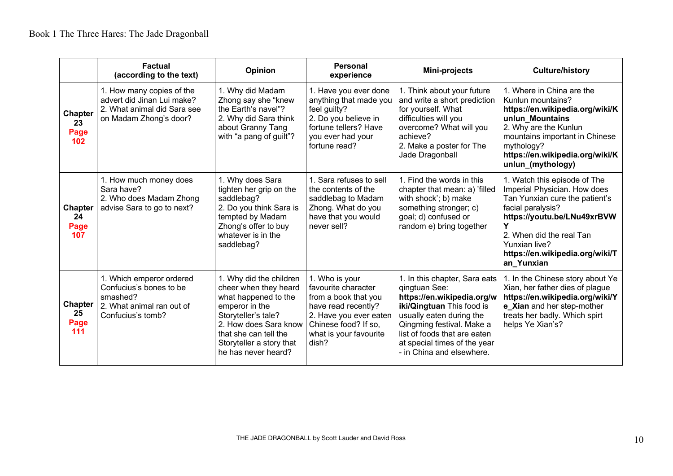|                                     | <b>Factual</b><br>(according to the text)                                                                         | <b>Opinion</b>                                                                                                                                                                                                         | <b>Personal</b><br>experience                                                                                                                                             | Mini-projects                                                                                                                                                                                                                                                   | <b>Culture/history</b>                                                                                                                                                                                                                           |
|-------------------------------------|-------------------------------------------------------------------------------------------------------------------|------------------------------------------------------------------------------------------------------------------------------------------------------------------------------------------------------------------------|---------------------------------------------------------------------------------------------------------------------------------------------------------------------------|-----------------------------------------------------------------------------------------------------------------------------------------------------------------------------------------------------------------------------------------------------------------|--------------------------------------------------------------------------------------------------------------------------------------------------------------------------------------------------------------------------------------------------|
| <b>Chapter</b><br>23<br>Page<br>102 | 1. How many copies of the<br>advert did Jinan Lui make?<br>2. What animal did Sara see<br>on Madam Zhong's door?  | 1. Why did Madam<br>Zhong say she "knew<br>the Earth's navel"?<br>2. Why did Sara think<br>about Granny Tang<br>with "a pang of guilt"?                                                                                | 1. Have you ever done<br>anything that made you<br>feel guilty?<br>2. Do you believe in<br>fortune tellers? Have<br>you ever had your<br>fortune read?                    | 1. Think about your future<br>and write a short prediction<br>for yourself. What<br>difficulties will you<br>overcome? What will you<br>achieve?<br>2. Make a poster for The<br>Jade Dragonball                                                                 | 1. Where in China are the<br>Kunlun mountains?<br>https://en.wikipedia.org/wiki/K<br>unlun Mountains<br>2. Why are the Kunlun<br>mountains important in Chinese<br>mythology?<br>https://en.wikipedia.org/wiki/K<br>unlun (mythology)            |
| <b>Chapter</b><br>24<br>Page<br>107 | 1. How much money does<br>Sara have?<br>2. Who does Madam Zhong<br>advise Sara to go to next?                     | 1. Why does Sara<br>tighten her grip on the<br>saddlebag?<br>2. Do you think Sara is<br>tempted by Madam<br>Zhong's offer to buy<br>whatever is in the<br>saddlebag?                                                   | 1. Sara refuses to sell<br>the contents of the<br>saddlebag to Madam<br>Zhong. What do you<br>have that you would<br>never sell?                                          | 1. Find the words in this<br>chapter that mean: a) 'filled<br>with shock'; b) make<br>something stronger; c)<br>goal; d) confused or<br>random e) bring together                                                                                                | 1. Watch this episode of The<br>Imperial Physician. How does<br>Tan Yunxian cure the patient's<br>facial paralysis?<br>https://youtu.be/LNu49xrBVW<br>2. When did the real Tan<br>Yunxian live?<br>https://en.wikipedia.org/wiki/T<br>an Yunxian |
| <b>Chapter</b><br>25<br>Page<br>111 | 1. Which emperor ordered<br>Confucius's bones to be<br>smashed?<br>2. What animal ran out of<br>Confucius's tomb? | 1. Why did the children<br>cheer when they heard<br>what happened to the<br>emperor in the<br>Storyteller's tale?<br>2. How does Sara know<br>that she can tell the<br>Storyteller a story that<br>he has never heard? | 1. Who is your<br>favourite character<br>from a book that you<br>have read recently?<br>2. Have you ever eaten<br>Chinese food? If so,<br>what is your favourite<br>dish? | 1. In this chapter, Sara eats<br>qingtuan See:<br>https://en.wikipedia.org/w<br>iki/Qingtuan This food is<br>usually eaten during the<br>Qingming festival. Make a<br>list of foods that are eaten<br>at special times of the year<br>- in China and elsewhere. | 1. In the Chinese story about Ye<br>Xian, her father dies of plague<br>https://en.wikipedia.org/wiki/Y<br>e_Xian and her step-mother<br>treats her badly. Which spirt<br>helps Ye Xian's?                                                        |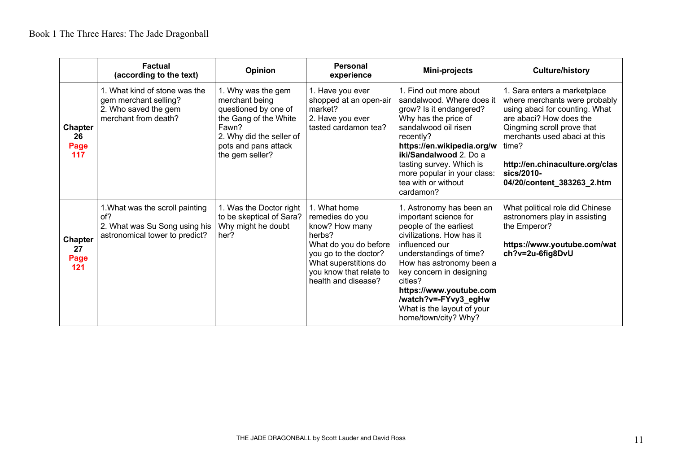|                                     | <b>Factual</b><br>(according to the text)                                                                 | Opinion                                                                                                                                                               | <b>Personal</b><br>experience                                                                                                                                                            | Mini-projects                                                                                                                                                                                                                                                                                                                     | <b>Culture/history</b>                                                                                                                                                                                                                                                           |
|-------------------------------------|-----------------------------------------------------------------------------------------------------------|-----------------------------------------------------------------------------------------------------------------------------------------------------------------------|------------------------------------------------------------------------------------------------------------------------------------------------------------------------------------------|-----------------------------------------------------------------------------------------------------------------------------------------------------------------------------------------------------------------------------------------------------------------------------------------------------------------------------------|----------------------------------------------------------------------------------------------------------------------------------------------------------------------------------------------------------------------------------------------------------------------------------|
| <b>Chapter</b><br>26<br>Page<br>117 | 1. What kind of stone was the<br>gem merchant selling?<br>2. Who saved the gem<br>merchant from death?    | 1. Why was the gem<br>merchant being<br>questioned by one of<br>the Gang of the White<br>Fawn?<br>2. Why did the seller of<br>pots and pans attack<br>the gem seller? | 1. Have you ever<br>shopped at an open-air<br>market?<br>2. Have you ever<br>tasted cardamon tea?                                                                                        | 1. Find out more about<br>sandalwood. Where does it<br>grow? Is it endangered?<br>Why has the price of<br>sandalwood oil risen<br>recently?<br>https://en.wikipedia.org/w<br>iki/Sandalwood 2. Do a<br>tasting survey. Which is<br>more popular in your class:<br>tea with or without<br>cardamon?                                | 1. Sara enters a marketplace<br>where merchants were probably<br>using abaci for counting. What<br>are abaci? How does the<br>Qingming scroll prove that<br>merchants used abaci at this<br>time?<br>http://en.chinaculture.org/clas<br>sics/2010-<br>04/20/content_383263_2.htm |
| <b>Chapter</b><br>27<br>Page<br>121 | 1. What was the scroll painting<br>of?<br>2. What was Su Song using his<br>astronomical tower to predict? | 1. Was the Doctor right<br>to be skeptical of Sara?<br>Why might he doubt<br>her?                                                                                     | 1. What home<br>remedies do you<br>know? How many<br>herbs?<br>What do you do before<br>you go to the doctor?<br>What superstitions do<br>you know that relate to<br>health and disease? | 1. Astronomy has been an<br>important science for<br>people of the earliest<br>civilizations. How has it<br>influenced our<br>understandings of time?<br>How has astronomy been a<br>key concern in designing<br>cities?<br>https://www.youtube.com<br>/watch?v=-FYvy3_egHw<br>What is the layout of your<br>home/town/city? Why? | What political role did Chinese<br>astronomers play in assisting<br>the Emperor?<br>https://www.youtube.com/wat<br>ch?v=2u-6fig8DvU                                                                                                                                              |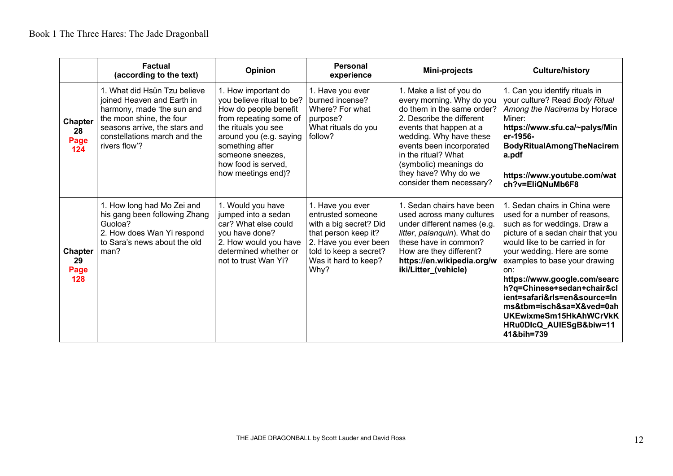|                                     | <b>Factual</b><br>(according to the text)                                                                                                                                                              | Opinion                                                                                                                                                                                                                                   | <b>Personal</b><br>experience                                                                                                                                              | Mini-projects                                                                                                                                                                                                                                                                                           | <b>Culture/history</b>                                                                                                                                                                                                                                                                                                                                                                                                                     |
|-------------------------------------|--------------------------------------------------------------------------------------------------------------------------------------------------------------------------------------------------------|-------------------------------------------------------------------------------------------------------------------------------------------------------------------------------------------------------------------------------------------|----------------------------------------------------------------------------------------------------------------------------------------------------------------------------|---------------------------------------------------------------------------------------------------------------------------------------------------------------------------------------------------------------------------------------------------------------------------------------------------------|--------------------------------------------------------------------------------------------------------------------------------------------------------------------------------------------------------------------------------------------------------------------------------------------------------------------------------------------------------------------------------------------------------------------------------------------|
| <b>Chapter</b><br>28<br>Page<br>124 | 1. What did Hsün Tzu believe<br>joined Heaven and Earth in<br>harmony, made 'the sun and<br>the moon shine, the four<br>seasons arrive, the stars and<br>constellations march and the<br>rivers flow'? | 1. How important do<br>you believe ritual to be?<br>How do people benefit<br>from repeating some of<br>the rituals you see<br>around you (e.g. saying<br>something after<br>someone sneezes,<br>how food is served.<br>how meetings end)? | 1. Have you ever<br>burned incense?<br>Where? For what<br>purpose?<br>What rituals do you<br>follow?                                                                       | 1. Make a list of you do<br>every morning. Why do you<br>do them in the same order?<br>2. Describe the different<br>events that happen at a<br>wedding. Why have these<br>events been incorporated<br>in the ritual? What<br>(symbolic) meanings do<br>they have? Why do we<br>consider them necessary? | 1. Can you identify rituals in<br>your culture? Read Body Ritual<br>Among the Nacirema by Horace<br>Miner:<br>https://www.sfu.ca/~palys/Min<br>er-1956-<br><b>BodyRitualAmongTheNacirem</b><br>a.pdf<br>https://www.youtube.com/wat<br>ch?v=EliQNuMb6F8                                                                                                                                                                                    |
| <b>Chapter</b><br>29<br>Page<br>128 | 1. How long had Mo Zei and<br>his gang been following Zhang<br>Guoloa?<br>2. How does Wan Yi respond<br>to Sara's news about the old<br>man?                                                           | 1. Would you have<br>jumped into a sedan<br>car? What else could<br>you have done?<br>2. How would you have<br>determined whether or<br>not to trust Wan Yi?                                                                              | 1. Have you ever<br>entrusted someone<br>with a big secret? Did<br>that person keep it?<br>2. Have you ever been<br>told to keep a secret?<br>Was it hard to keep?<br>Why? | 1. Sedan chairs have been<br>used across many cultures<br>under different names (e.g.<br>litter, palanquin). What do<br>these have in common?<br>How are they different?<br>https://en.wikipedia.org/w<br>iki/Litter_(vehicle)                                                                          | 1. Sedan chairs in China were<br>used for a number of reasons.<br>such as for weddings. Draw a<br>picture of a sedan chair that you<br>would like to be carried in for<br>your wedding. Here are some<br>examples to base your drawing<br>on:<br>https://www.google.com/searc<br>h?q=Chinese+sedan+chair&cl<br>ient=safari&rls=en&source=In<br>ms&tbm=isch&sa=X&ved=0ah<br>UKEwixmeSm15HkAhWCrVkK<br>HRu0DIcQ_AUIESgB&biw=11<br>41&bih=739 |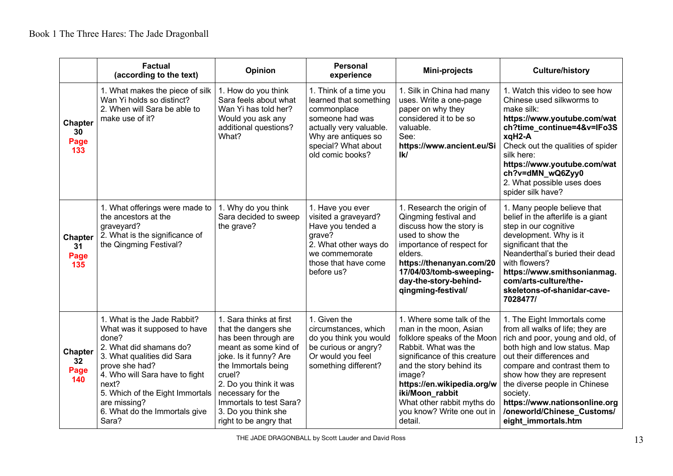|                                     | <b>Factual</b><br>(according to the text)                                                                                                                                                                                                                                               | Opinion                                                                                                                                                                                                                                                                                | <b>Personal</b><br>experience                                                                                                                                                   | Mini-projects                                                                                                                                                                                                                                                                                             | <b>Culture/history</b>                                                                                                                                                                                                                                                                                                                                              |
|-------------------------------------|-----------------------------------------------------------------------------------------------------------------------------------------------------------------------------------------------------------------------------------------------------------------------------------------|----------------------------------------------------------------------------------------------------------------------------------------------------------------------------------------------------------------------------------------------------------------------------------------|---------------------------------------------------------------------------------------------------------------------------------------------------------------------------------|-----------------------------------------------------------------------------------------------------------------------------------------------------------------------------------------------------------------------------------------------------------------------------------------------------------|---------------------------------------------------------------------------------------------------------------------------------------------------------------------------------------------------------------------------------------------------------------------------------------------------------------------------------------------------------------------|
| <b>Chapter</b><br>30<br>Page<br>133 | 1. What makes the piece of silk<br>Wan Yi holds so distinct?<br>2. When will Sara be able to<br>make use of it?                                                                                                                                                                         | 1. How do you think<br>Sara feels about what<br>Wan Yi has told her?<br>Would you ask any<br>additional questions?<br>What?                                                                                                                                                            | 1. Think of a time you<br>learned that something<br>commonplace<br>someone had was<br>actually very valuable.<br>Why are antiques so<br>special? What about<br>old comic books? | 1. Silk in China had many<br>uses. Write a one-page<br>paper on why they<br>considered it to be so<br>valuable.<br>See:<br>https://www.ancient.eu/Si<br>lk/                                                                                                                                               | 1. Watch this video to see how<br>Chinese used silkworms to<br>make silk:<br>https://www.youtube.com/wat<br>ch?time_continue=4&v=IFo3S<br>xqH2-A<br>Check out the qualities of spider<br>silk here:<br>https://www.youtube.com/wat<br>ch?v=dMN_wQ6Zyy0<br>2. What possible uses does<br>spider silk have?                                                           |
| <b>Chapter</b><br>31<br>Page<br>135 | 1. What offerings were made to<br>the ancestors at the<br>graveyard?<br>2. What is the significance of<br>the Qingming Festival?                                                                                                                                                        | 1. Why do you think<br>Sara decided to sweep<br>the grave?                                                                                                                                                                                                                             | 1. Have you ever<br>visited a graveyard?<br>Have you tended a<br>grave?<br>2. What other ways do<br>we commemorate<br>those that have come<br>before us?                        | 1. Research the origin of<br>Qingming festival and<br>discuss how the story is<br>used to show the<br>importance of respect for<br>elders.<br>https://thenanyan.com/20<br>17/04/03/tomb-sweeping-<br>day-the-story-behind-<br>qingming-festival/                                                          | 1. Many people believe that<br>belief in the afterlife is a giant<br>step in our cognitive<br>development. Why is it<br>significant that the<br>Neanderthal's buried their dead<br>with flowers?<br>https://www.smithsonianmag.<br>com/arts-culture/the-<br>skeletons-of-shanidar-cave-<br>7028477/                                                                 |
| <b>Chapter</b><br>32<br>Page<br>140 | 1. What is the Jade Rabbit?<br>What was it supposed to have<br>done?<br>2. What did shamans do?<br>3. What qualities did Sara<br>prove she had?<br>4. Who will Sara have to fight<br>next?<br>5. Which of the Eight Immortals<br>are missing?<br>6. What do the Immortals give<br>Sara? | 1. Sara thinks at first<br>that the dangers she<br>has been through are<br>meant as some kind of<br>joke. Is it funny? Are<br>the Immortals being<br>cruel?<br>2. Do you think it was<br>necessary for the<br>Immortals to test Sara?<br>3. Do you think she<br>right to be angry that | 1. Given the<br>circumstances, which<br>do you think you would<br>be curious or angry?<br>Or would you feel<br>something different?                                             | 1. Where some talk of the<br>man in the moon, Asian<br>folklore speaks of the Moon<br>Rabbit. What was the<br>significance of this creature<br>and the story behind its<br>image?<br>https://en.wikipedia.org/w<br>iki/Moon_rabbit<br>What other rabbit myths do<br>you know? Write one out in<br>detail. | 1. The Eight Immortals come<br>from all walks of life; they are<br>rich and poor, young and old, of<br>both high and low status. Map<br>out their differences and<br>compare and contrast them to<br>show how they are represent<br>the diverse people in Chinese<br>society.<br>https://www.nationsonline.org<br>/oneworld/Chinese Customs/<br>eight immortals.htm |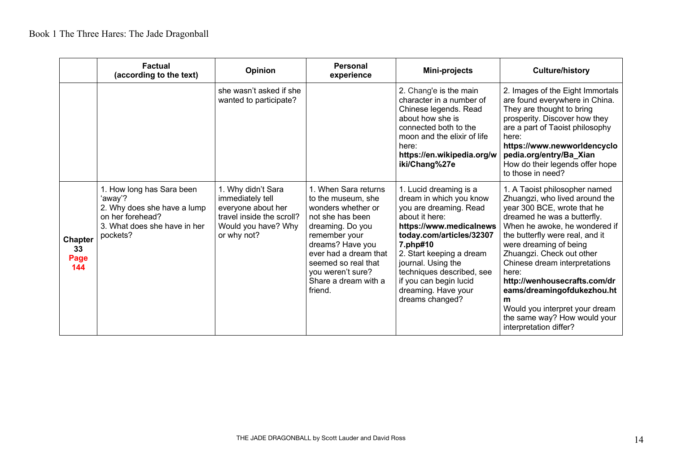|                                     | <b>Factual</b><br>(according to the text)                                                                                           | <b>Opinion</b>                                                                                                                  | <b>Personal</b><br>experience                                                                                                                                                                                                                         | Mini-projects                                                                                                                                                                                                                                                                                                       | <b>Culture/history</b>                                                                                                                                                                                                                                                                                                                                                                                                                                            |
|-------------------------------------|-------------------------------------------------------------------------------------------------------------------------------------|---------------------------------------------------------------------------------------------------------------------------------|-------------------------------------------------------------------------------------------------------------------------------------------------------------------------------------------------------------------------------------------------------|---------------------------------------------------------------------------------------------------------------------------------------------------------------------------------------------------------------------------------------------------------------------------------------------------------------------|-------------------------------------------------------------------------------------------------------------------------------------------------------------------------------------------------------------------------------------------------------------------------------------------------------------------------------------------------------------------------------------------------------------------------------------------------------------------|
|                                     |                                                                                                                                     | she wasn't asked if she<br>wanted to participate?                                                                               |                                                                                                                                                                                                                                                       | 2. Chang'e is the main<br>character in a number of<br>Chinese legends. Read<br>about how she is<br>connected both to the<br>moon and the elixir of life<br>here:<br>https://en.wikipedia.org/w<br>iki/Chang%27e                                                                                                     | 2. Images of the Eight Immortals<br>are found everywhere in China.<br>They are thought to bring<br>prosperity. Discover how they<br>are a part of Taoist philosophy<br>here:<br>https://www.newworldencyclo<br>pedia.org/entry/Ba_Xian<br>How do their legends offer hope<br>to those in need?                                                                                                                                                                    |
| <b>Chapter</b><br>33<br>Page<br>144 | 1. How long has Sara been<br>'away'?<br>2. Why does she have a lump<br>on her forehead?<br>3. What does she have in her<br>pockets? | 1. Why didn't Sara<br>immediately tell<br>everyone about her<br>travel inside the scroll?<br>Would you have? Why<br>or why not? | 1. When Sara returns<br>to the museum, she<br>wonders whether or<br>not she has been<br>dreaming. Do you<br>remember your<br>dreams? Have you<br>ever had a dream that<br>seemed so real that<br>you weren't sure?<br>Share a dream with a<br>friend. | 1. Lucid dreaming is a<br>dream in which you know<br>you are dreaming. Read<br>about it here:<br>https://www.medicalnews<br>today.com/articles/32307<br>7.php#10<br>2. Start keeping a dream<br>journal. Using the<br>techniques described, see<br>if you can begin lucid<br>dreaming. Have your<br>dreams changed? | 1. A Taoist philosopher named<br>Zhuangzi, who lived around the<br>year 300 BCE, wrote that he<br>dreamed he was a butterfly.<br>When he awoke, he wondered if<br>the butterfly were real, and it<br>were dreaming of being<br>Zhuangzi. Check out other<br>Chinese dream interpretations<br>here:<br>http://wenhousecrafts.com/dr<br>eams/dreamingofdukezhou.ht<br>m<br>Would you interpret your dream<br>the same way? How would your<br>interpretation differ? |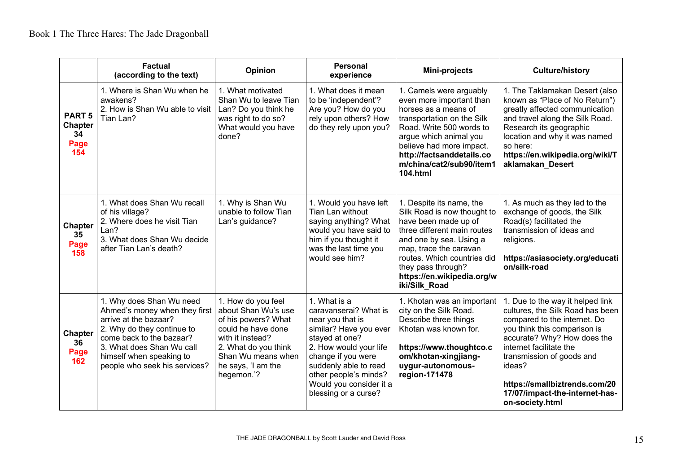|                                                      | <b>Factual</b><br>(according to the text)                                                                                                                                                                                              | Opinion                                                                                                                                                                                      | <b>Personal</b><br>experience                                                                                                                                                                                                                              | Mini-projects                                                                                                                                                                                                                                                           | <b>Culture/history</b>                                                                                                                                                                                                                                                                                                      |
|------------------------------------------------------|----------------------------------------------------------------------------------------------------------------------------------------------------------------------------------------------------------------------------------------|----------------------------------------------------------------------------------------------------------------------------------------------------------------------------------------------|------------------------------------------------------------------------------------------------------------------------------------------------------------------------------------------------------------------------------------------------------------|-------------------------------------------------------------------------------------------------------------------------------------------------------------------------------------------------------------------------------------------------------------------------|-----------------------------------------------------------------------------------------------------------------------------------------------------------------------------------------------------------------------------------------------------------------------------------------------------------------------------|
| <b>PART 5</b><br><b>Chapter</b><br>34<br>Page<br>154 | 1. Where is Shan Wu when he<br>awakens?<br>2. How is Shan Wu able to visit<br>Tian Lan?                                                                                                                                                | 1. What motivated<br>Shan Wu to leave Tian<br>Lan? Do you think he<br>was right to do so?<br>What would you have<br>done?                                                                    | 1. What does it mean<br>to be 'independent'?<br>Are you? How do you<br>rely upon others? How<br>do they rely upon you?                                                                                                                                     | 1. Camels were arguably<br>even more important than<br>horses as a means of<br>transportation on the Silk<br>Road. Write 500 words to<br>argue which animal you<br>believe had more impact.<br>http://factsanddetails.co<br>m/china/cat2/sub90/item1<br><b>104.html</b> | 1. The Taklamakan Desert (also<br>known as "Place of No Return")<br>greatly affected communication<br>and travel along the Silk Road.<br>Research its geographic<br>location and why it was named<br>so here:<br>https://en.wikipedia.org/wiki/T<br>aklamakan Desert                                                        |
| <b>Chapter</b><br>35<br>Page<br>158                  | 1. What does Shan Wu recall<br>of his village?<br>2. Where does he visit Tian<br>Lan?<br>3. What does Shan Wu decide<br>after Tian Lan's death?                                                                                        | 1. Why is Shan Wu<br>unable to follow Tian<br>Lan's guidance?                                                                                                                                | 1. Would you have left<br>Tian Lan without<br>saying anything? What<br>would you have said to<br>him if you thought it<br>was the last time you<br>would see him?                                                                                          | 1. Despite its name, the<br>Silk Road is now thought to<br>have been made up of<br>three different main routes<br>and one by sea. Using a<br>map, trace the caravan<br>routes. Which countries did<br>they pass through?<br>https://en.wikipedia.org/w<br>iki/Silk Road | 1. As much as they led to the<br>exchange of goods, the Silk<br>Road(s) facilitated the<br>transmission of ideas and<br>religions.<br>https://asiasociety.org/educati<br>on/silk-road                                                                                                                                       |
| <b>Chapter</b><br>36<br>Page<br>162                  | 1. Why does Shan Wu need<br>Ahmed's money when they first<br>arrive at the bazaar?<br>2. Why do they continue to<br>come back to the bazaar?<br>3. What does Shan Wu call<br>himself when speaking to<br>people who seek his services? | 1. How do you feel<br>about Shan Wu's use<br>of his powers? What<br>could he have done<br>with it instead?<br>2. What do you think<br>Shan Wu means when<br>he says, 'I am the<br>hegemon.'? | 1. What is a<br>caravanserai? What is<br>near you that is<br>similar? Have you ever<br>stayed at one?<br>2. How would your life<br>change if you were<br>suddenly able to read<br>other people's minds?<br>Would you consider it a<br>blessing or a curse? | 1. Khotan was an important<br>city on the Silk Road.<br>Describe three things<br>Khotan was known for.<br>https://www.thoughtco.c<br>om/khotan-xingjiang-<br>uygur-autonomous-<br>region-171478                                                                         | 1. Due to the way it helped link<br>cultures, the Silk Road has been<br>compared to the internet. Do<br>you think this comparison is<br>accurate? Why? How does the<br>internet facilitate the<br>transmission of goods and<br>ideas?<br>https://smallbiztrends.com/20<br>17/07/impact-the-internet-has-<br>on-society.html |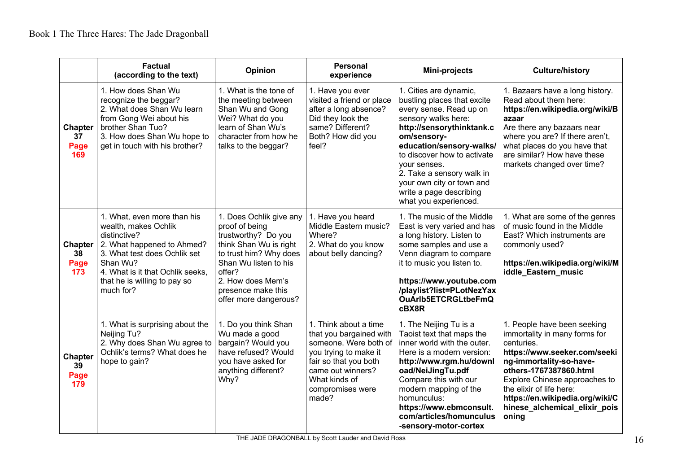|                                     | <b>Factual</b><br>(according to the text)                                                                                                                                                                                      | Opinion                                                                                                                                                                                                                     | <b>Personal</b><br>experience                                                                                                                                                                  | Mini-projects                                                                                                                                                                                                                                                                                                                                | <b>Culture/history</b>                                                                                                                                                                                                                                                                                    |
|-------------------------------------|--------------------------------------------------------------------------------------------------------------------------------------------------------------------------------------------------------------------------------|-----------------------------------------------------------------------------------------------------------------------------------------------------------------------------------------------------------------------------|------------------------------------------------------------------------------------------------------------------------------------------------------------------------------------------------|----------------------------------------------------------------------------------------------------------------------------------------------------------------------------------------------------------------------------------------------------------------------------------------------------------------------------------------------|-----------------------------------------------------------------------------------------------------------------------------------------------------------------------------------------------------------------------------------------------------------------------------------------------------------|
| <b>Chapter</b><br>37<br>Page<br>169 | 1. How does Shan Wu<br>recognize the beggar?<br>2. What does Shan Wu learn<br>from Gong Wei about his<br>brother Shan Tuo?<br>3. How does Shan Wu hope to<br>get in touch with his brother?                                    | 1. What is the tone of<br>the meeting between<br>Shan Wu and Gong<br>Wei? What do you<br>learn of Shan Wu's<br>character from how he<br>talks to the beggar?                                                                | 1. Have you ever<br>visited a friend or place<br>after a long absence?<br>Did they look the<br>same? Different?<br>Both? How did you<br>feel?                                                  | 1. Cities are dynamic,<br>bustling places that excite<br>every sense. Read up on<br>sensory walks here:<br>http://sensorythinktank.c<br>om/sensory-<br>education/sensory-walks/<br>to discover how to activate<br>vour senses.<br>2. Take a sensory walk in<br>your own city or town and<br>write a page describing<br>what you experienced. | 1. Bazaars have a long history.<br>Read about them here:<br>https://en.wikipedia.org/wiki/B<br>azaar<br>Are there any bazaars near<br>where you are? If there aren't,<br>what places do you have that<br>are similar? How have these<br>markets changed over time?                                        |
| <b>Chapter</b><br>38<br>Page<br>173 | 1. What, even more than his<br>wealth, makes Ochlik<br>distinctive?<br>2. What happened to Ahmed?<br>3. What test does Ochlik set<br>Shan Wu?<br>4. What is it that Ochlik seeks,<br>that he is willing to pay so<br>much for? | 1. Does Ochlik give any<br>proof of being<br>trustworthy? Do you<br>think Shan Wu is right<br>to trust him? Why does<br>Shan Wu listen to his<br>offer?<br>2. How does Mem's<br>presence make this<br>offer more dangerous? | 1. Have you heard<br>Middle Eastern music?<br>Where?<br>2. What do you know<br>about belly dancing?                                                                                            | 1. The music of the Middle<br>East is very varied and has<br>a long history. Listen to<br>some samples and use a<br>Venn diagram to compare<br>it to music you listen to.<br>https://www.youtube.com<br>/playlist?list=PLotNezYax<br>OuArlb5ETCRGLtbeFmQ<br>cBX8R                                                                            | 1. What are some of the genres<br>of music found in the Middle<br>East? Which instruments are<br>commonly used?<br>https://en.wikipedia.org/wiki/M<br>iddle Eastern music                                                                                                                                 |
| <b>Chapter</b><br>39<br>Page<br>179 | 1. What is surprising about the<br>Neijing Tu?<br>2. Why does Shan Wu agree to<br>Ochlik's terms? What does he<br>hope to gain?                                                                                                | 1. Do you think Shan<br>Wu made a good<br>bargain? Would you<br>have refused? Would<br>you have asked for<br>anything different?<br>Why?                                                                                    | 1. Think about a time<br>that you bargained with<br>someone. Were both of<br>you trying to make it<br>fair so that you both<br>came out winners?<br>What kinds of<br>compromises were<br>made? | 1. The Neijing Tu is a<br>Taoist text that maps the<br>inner world with the outer.<br>Here is a modern version:<br>http://www.rgm.hu/downl<br>oad/NeiJingTu.pdf<br>Compare this with our<br>modern mapping of the<br>homunculus:<br>https://www.ebmconsult.<br>com/articles/homunculus<br>-sensory-motor-cortex                              | 1. People have been seeking<br>immortality in many forms for<br>centuries.<br>https://www.seeker.com/seeki<br>ng-immortality-so-have-<br>others-1767387860.html<br>Explore Chinese approaches to<br>the elixir of life here:<br>https://en.wikipedia.org/wiki/C<br>hinese_alchemical_elixir_pois<br>oning |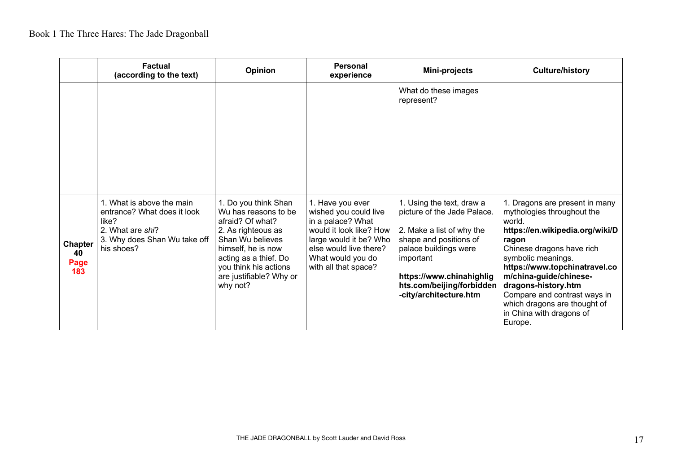|                                     | Factual<br>(according to the text)                                                                                                  | Opinion                                                                                                                                                                                                                   | Personal<br>experience                                                                                                                                                                     | Mini-projects                                                                                                                                                                                                                            | <b>Culture/history</b>                                                                                                                                                                                                                                                                                                                                         |
|-------------------------------------|-------------------------------------------------------------------------------------------------------------------------------------|---------------------------------------------------------------------------------------------------------------------------------------------------------------------------------------------------------------------------|--------------------------------------------------------------------------------------------------------------------------------------------------------------------------------------------|------------------------------------------------------------------------------------------------------------------------------------------------------------------------------------------------------------------------------------------|----------------------------------------------------------------------------------------------------------------------------------------------------------------------------------------------------------------------------------------------------------------------------------------------------------------------------------------------------------------|
|                                     |                                                                                                                                     |                                                                                                                                                                                                                           |                                                                                                                                                                                            | What do these images<br>represent?                                                                                                                                                                                                       |                                                                                                                                                                                                                                                                                                                                                                |
| <b>Chapter</b><br>40<br>Page<br>183 | 1. What is above the main<br>entrance? What does it look<br>like?<br>2. What are shi?<br>3. Why does Shan Wu take off<br>his shoes? | 1. Do you think Shan<br>Wu has reasons to be<br>afraid? Of what?<br>2. As righteous as<br>Shan Wu believes<br>himself, he is now<br>acting as a thief. Do<br>you think his actions<br>are justifiable? Why or<br>why not? | 1. Have you ever<br>wished you could live<br>in a palace? What<br>would it look like? How<br>large would it be? Who<br>else would live there?<br>What would you do<br>with all that space? | 1. Using the text, draw a<br>picture of the Jade Palace.<br>2. Make a list of why the<br>shape and positions of<br>palace buildings were<br>important<br>https://www.chinahighlig<br>hts.com/beijing/forbidden<br>-city/architecture.htm | 1. Dragons are present in many<br>mythologies throughout the<br>world.<br>https://en.wikipedia.org/wiki/D<br>ragon<br>Chinese dragons have rich<br>symbolic meanings.<br>https://www.topchinatravel.co<br>m/china-guide/chinese-<br>dragons-history.htm<br>Compare and contrast ways in<br>which dragons are thought of<br>in China with dragons of<br>Europe. |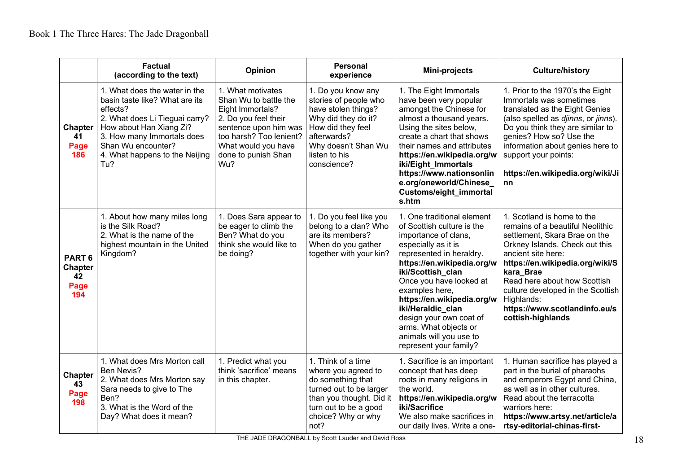|                                                          | <b>Factual</b><br>(according to the text)                                                                                                                                                                                             | Opinion                                                                                                                                                                                         | <b>Personal</b><br>experience                                                                                                                                                        | Mini-projects                                                                                                                                                                                                                                                                                                                                                                                   | <b>Culture/history</b>                                                                                                                                                                                                                                                                                                                           |
|----------------------------------------------------------|---------------------------------------------------------------------------------------------------------------------------------------------------------------------------------------------------------------------------------------|-------------------------------------------------------------------------------------------------------------------------------------------------------------------------------------------------|--------------------------------------------------------------------------------------------------------------------------------------------------------------------------------------|-------------------------------------------------------------------------------------------------------------------------------------------------------------------------------------------------------------------------------------------------------------------------------------------------------------------------------------------------------------------------------------------------|--------------------------------------------------------------------------------------------------------------------------------------------------------------------------------------------------------------------------------------------------------------------------------------------------------------------------------------------------|
| <b>Chapter</b><br>41<br>Page<br>186                      | 1. What does the water in the<br>basin taste like? What are its<br>effects?<br>2. What does Li Tieguai carry?<br>How about Han Xiang Zi?<br>3. How many Immortals does<br>Shan Wu encounter?<br>4. What happens to the Neijing<br>Tu? | 1. What motivates<br>Shan Wu to battle the<br>Eight Immortals?<br>2. Do you feel their<br>sentence upon him was<br>too harsh? Too lenient?<br>What would you have<br>done to punish Shan<br>Wu? | 1. Do you know any<br>stories of people who<br>have stolen things?<br>Why did they do it?<br>How did they feel<br>afterwards?<br>Why doesn't Shan Wu<br>listen to his<br>conscience? | 1. The Eight Immortals<br>have been very popular<br>amongst the Chinese for<br>almost a thousand years.<br>Using the sites below,<br>create a chart that shows<br>their names and attributes<br>https://en.wikipedia.org/w<br>iki/Eight Immortals<br>https://www.nationsonlin<br>e.org/oneworld/Chinese<br>Customs/eight_immortal<br>s.htm                                                      | 1. Prior to the 1970's the Eight<br>Immortals was sometimes<br>translated as the Eight Genies<br>(also spelled as djinns, or jinns).<br>Do you think they are similar to<br>genies? How so? Use the<br>information about genies here to<br>support your points:<br>https://en.wikipedia.org/wiki/Ji<br>nn                                        |
| PART <sub>6</sub><br><b>Chapter</b><br>42<br>Page<br>194 | 1. About how many miles long<br>is the Silk Road?<br>2. What is the name of the<br>highest mountain in the United<br>Kingdom?                                                                                                         | 1. Does Sara appear to<br>be eager to climb the<br>Ben? What do you<br>think she would like to<br>be doing?                                                                                     | 1. Do you feel like you<br>belong to a clan? Who<br>are its members?<br>When do you gather<br>together with your kin?                                                                | 1. One traditional element<br>of Scottish culture is the<br>importance of clans,<br>especially as it is<br>represented in heraldry.<br>https://en.wikipedia.org/w<br>iki/Scottish clan<br>Once you have looked at<br>examples here,<br>https://en.wikipedia.org/w<br>iki/Heraldic_clan<br>design your own coat of<br>arms. What objects or<br>animals will you use to<br>represent your family? | 1. Scotland is home to the<br>remains of a beautiful Neolithic<br>settlement, Skara Brae on the<br>Orkney Islands. Check out this<br>ancient site here:<br>https://en.wikipedia.org/wiki/S<br>kara Brae<br>Read here about how Scottish<br>culture developed in the Scottish<br>Highlands:<br>https://www.scotlandinfo.eu/s<br>cottish-highlands |
| <b>Chapter</b><br>43<br>Page<br>198                      | 1. What does Mrs Morton call<br>Ben Nevis?<br>2. What does Mrs Morton say<br>Sara needs to give to The<br>Ben?<br>3. What is the Word of the<br>Day? What does it mean?                                                               | 1. Predict what you<br>think 'sacrifice' means<br>in this chapter.                                                                                                                              | 1. Think of a time<br>where you agreed to<br>do something that<br>turned out to be larger<br>than you thought. Did it<br>turn out to be a good<br>choice? Why or why<br>not?         | 1. Sacrifice is an important<br>concept that has deep<br>roots in many religions in<br>the world.<br>https://en.wikipedia.org/w<br>iki/Sacrifice<br>We also make sacrifices in<br>our daily lives. Write a one-                                                                                                                                                                                 | 1. Human sacrifice has played a<br>part in the burial of pharaohs<br>and emperors Egypt and China,<br>as well as in other cultures.<br>Read about the terracotta<br>warriors here:<br>https://www.artsy.net/article/a<br>rtsy-editorial-chinas-first-                                                                                            |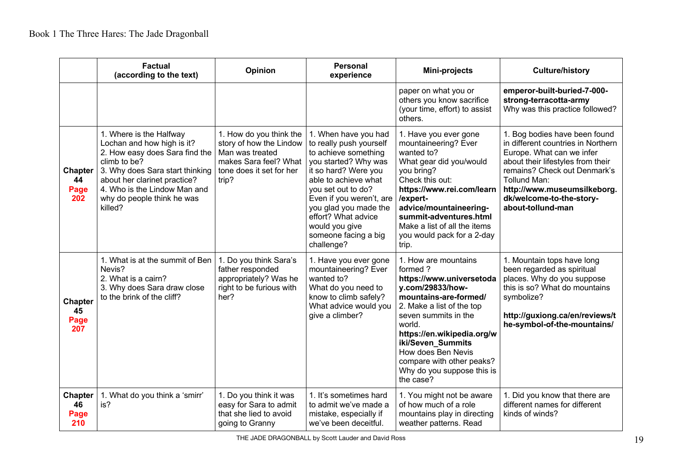|                                     | <b>Factual</b><br>(according to the text)                                                                                                                                                                                                           | <b>Opinion</b>                                                                                                                      | <b>Personal</b><br>experience                                                                                                                                                                                                                                                                             | Mini-projects                                                                                                                                                                                                                                                                                                            | <b>Culture/history</b>                                                                                                                                                                                                                                                |
|-------------------------------------|-----------------------------------------------------------------------------------------------------------------------------------------------------------------------------------------------------------------------------------------------------|-------------------------------------------------------------------------------------------------------------------------------------|-----------------------------------------------------------------------------------------------------------------------------------------------------------------------------------------------------------------------------------------------------------------------------------------------------------|--------------------------------------------------------------------------------------------------------------------------------------------------------------------------------------------------------------------------------------------------------------------------------------------------------------------------|-----------------------------------------------------------------------------------------------------------------------------------------------------------------------------------------------------------------------------------------------------------------------|
|                                     |                                                                                                                                                                                                                                                     |                                                                                                                                     |                                                                                                                                                                                                                                                                                                           | paper on what you or<br>others you know sacrifice<br>(your time, effort) to assist<br>others.                                                                                                                                                                                                                            | emperor-built-buried-7-000-<br>strong-terracotta-army<br>Why was this practice followed?                                                                                                                                                                              |
| <b>Chapter</b><br>44<br>Page<br>202 | 1. Where is the Halfway<br>Lochan and how high is it?<br>2. How easy does Sara find the<br>climb to be?<br>3. Why does Sara start thinking<br>about her clarinet practice?<br>4. Who is the Lindow Man and<br>why do people think he was<br>killed? | 1. How do you think the<br>story of how the Lindow<br>Man was treated<br>makes Sara feel? What<br>tone does it set for her<br>trip? | 1. When have you had<br>to really push yourself<br>to achieve something<br>you started? Why was<br>it so hard? Were you<br>able to achieve what<br>you set out to do?<br>Even if you weren't, are<br>you glad you made the<br>effort? What advice<br>would you give<br>someone facing a big<br>challenge? | 1. Have you ever gone<br>mountaineering? Ever<br>wanted to?<br>What gear did you/would<br>you bring?<br>Check this out:<br>https://www.rei.com/learn<br>/expert-<br>advice/mountaineering-<br>summit-adventures.html<br>Make a list of all the items<br>you would pack for a 2-day<br>trip.                              | 1. Bog bodies have been found<br>in different countries in Northern<br>Europe. What can we infer<br>about their lifestyles from their<br>remains? Check out Denmark's<br>Tollund Man:<br>http://www.museumsilkeborg.<br>dk/welcome-to-the-story-<br>about-tollund-man |
| <b>Chapter</b><br>45<br>Page<br>207 | 1. What is at the summit of Ben<br>Nevis?<br>2. What is a cairn?<br>3. Why does Sara draw close<br>to the brink of the cliff?                                                                                                                       | 1. Do you think Sara's<br>father responded<br>appropriately? Was he<br>right to be furious with<br>her?                             | 1. Have you ever gone<br>mountaineering? Ever<br>wanted to?<br>What do you need to<br>know to climb safely?<br>What advice would you<br>give a climber?                                                                                                                                                   | 1. How are mountains<br>formed?<br>https://www.universetoda<br>y.com/29833/how-<br>mountains-are-formed/<br>2. Make a list of the top<br>seven summits in the<br>world.<br>https://en.wikipedia.org/w<br>iki/Seven_Summits<br>How does Ben Nevis<br>compare with other peaks?<br>Why do you suppose this is<br>the case? | 1. Mountain tops have long<br>been regarded as spiritual<br>places. Why do you suppose<br>this is so? What do mountains<br>symbolize?<br>http://guxiong.ca/en/reviews/t<br>he-symbol-of-the-mountains/                                                                |
| <b>Chapter</b><br>46<br>Page<br>210 | 1. What do you think a 'smirr'<br>is?                                                                                                                                                                                                               | 1. Do you think it was<br>easy for Sara to admit<br>that she lied to avoid<br>going to Granny                                       | 1. It's sometimes hard<br>to admit we've made a<br>mistake, especially if<br>we've been deceitful.                                                                                                                                                                                                        | 1. You might not be aware<br>of how much of a role<br>mountains play in directing<br>weather patterns. Read                                                                                                                                                                                                              | 1. Did you know that there are<br>different names for different<br>kinds of winds?                                                                                                                                                                                    |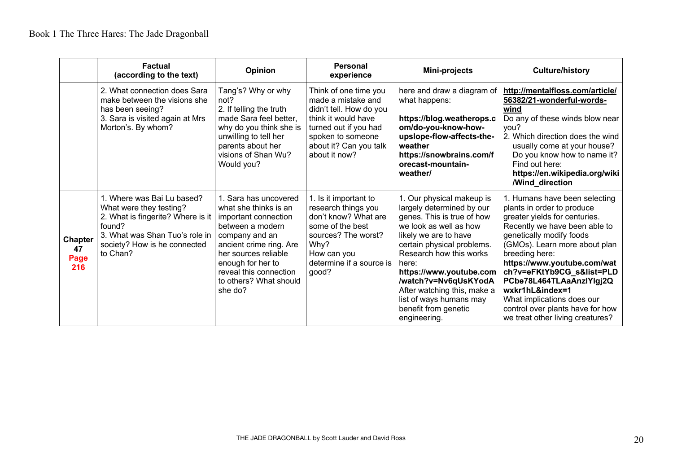|                                     | Factual<br>(according to the text)                                                                                                                                                 | Opinion                                                                                                                                                                                                                                             | Personal<br>experience                                                                                                                                                                 | Mini-projects                                                                                                                                                                                                                                                                                                                                                  | <b>Culture/history</b>                                                                                                                                                                                                                                                                                                                                                                                                        |
|-------------------------------------|------------------------------------------------------------------------------------------------------------------------------------------------------------------------------------|-----------------------------------------------------------------------------------------------------------------------------------------------------------------------------------------------------------------------------------------------------|----------------------------------------------------------------------------------------------------------------------------------------------------------------------------------------|----------------------------------------------------------------------------------------------------------------------------------------------------------------------------------------------------------------------------------------------------------------------------------------------------------------------------------------------------------------|-------------------------------------------------------------------------------------------------------------------------------------------------------------------------------------------------------------------------------------------------------------------------------------------------------------------------------------------------------------------------------------------------------------------------------|
|                                     | 2. What connection does Sara<br>make between the visions she<br>has been seeing?<br>3. Sara is visited again at Mrs<br>Morton's. By whom?                                          | Tang's? Why or why<br>not?<br>2. If telling the truth<br>made Sara feel better,<br>why do you think she is<br>unwilling to tell her<br>parents about her<br>visions of Shan Wu?<br>Would you?                                                       | Think of one time you<br>made a mistake and<br>didn't tell. How do you<br>think it would have<br>turned out if you had<br>spoken to someone<br>about it? Can you talk<br>about it now? | here and draw a diagram of<br>what happens:<br>https://blog.weatherops.c<br>om/do-you-know-how-<br>upslope-flow-affects-the-<br>weather<br>https://snowbrains.com/f<br>orecast-mountain-<br>weather/                                                                                                                                                           | http://mentalfloss.com/article/<br>56382/21-wonderful-words-<br>wind<br>Do any of these winds blow near<br>you?<br>2. Which direction does the wind<br>usually come at your house?<br>Do you know how to name it?<br>Find out here:<br>https://en.wikipedia.org/wiki<br><b>/Wind direction</b>                                                                                                                                |
| <b>Chapter</b><br>47<br>Page<br>216 | 1. Where was Bai Lu based?<br>What were they testing?<br>2. What is fingerite? Where is it<br>found?<br>3. What was Shan Tuo's role in<br>society? How is he connected<br>to Chan? | 1. Sara has uncovered<br>what she thinks is an<br>important connection<br>between a modern<br>company and an<br>ancient crime ring. Are<br>her sources reliable<br>enough for her to<br>reveal this connection<br>to others? What should<br>she do? | 1. Is it important to<br>research things you<br>don't know? What are<br>some of the best<br>sources? The worst?<br>Why?<br>How can you<br>determine if a source is<br>good?            | 1. Our physical makeup is<br>largely determined by our<br>genes. This is true of how<br>we look as well as how<br>likely we are to have<br>certain physical problems.<br>Research how this works<br>here:<br>https://www.youtube.com<br>/watch?v=Nv6qUsKYodA<br>After watching this, make a<br>list of ways humans may<br>benefit from genetic<br>engineering. | 1. Humans have been selecting<br>plants in order to produce<br>greater yields for centuries.<br>Recently we have been able to<br>genetically modify foods<br>(GMOs). Learn more about plan<br>breeding here:<br>https://www.youtube.com/wat<br>ch?v=eFKtYb9CG_s&list=PLD<br>PCbe78L464TLAaAnzlYlgj2Q<br>wxkr1hL&index=1<br>What implications does our<br>control over plants have for how<br>we treat other living creatures? |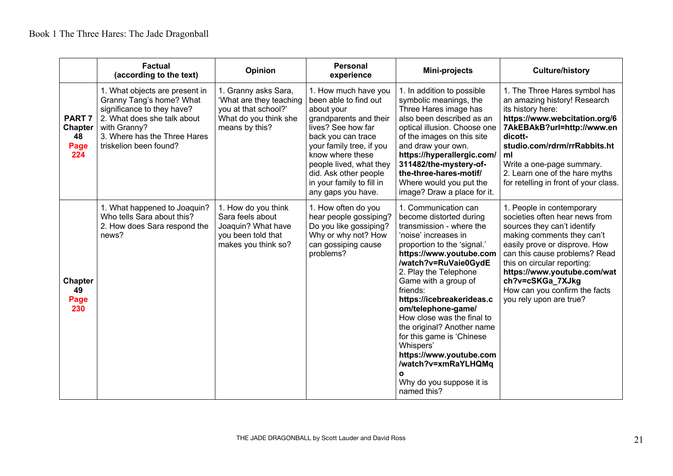|                                                      | <b>Factual</b><br>(according to the text)                                                                                                                                                         | <b>Opinion</b>                                                                                                     | Personal<br>experience                                                                                                                                                                                                                                                                   | Mini-projects                                                                                                                                                                                                                                                                                                                                                                                                                                                                                                        | <b>Culture/history</b>                                                                                                                                                                                                                                                                                                                   |
|------------------------------------------------------|---------------------------------------------------------------------------------------------------------------------------------------------------------------------------------------------------|--------------------------------------------------------------------------------------------------------------------|------------------------------------------------------------------------------------------------------------------------------------------------------------------------------------------------------------------------------------------------------------------------------------------|----------------------------------------------------------------------------------------------------------------------------------------------------------------------------------------------------------------------------------------------------------------------------------------------------------------------------------------------------------------------------------------------------------------------------------------------------------------------------------------------------------------------|------------------------------------------------------------------------------------------------------------------------------------------------------------------------------------------------------------------------------------------------------------------------------------------------------------------------------------------|
| <b>PART 7</b><br><b>Chapter</b><br>48<br>Page<br>224 | 1. What objects are present in<br>Granny Tang's home? What<br>significance to they have?<br>2. What does she talk about<br>with Granny?<br>3. Where has the Three Hares<br>triskelion been found? | 1. Granny asks Sara,<br>'What are they teaching<br>you at that school?'<br>What do you think she<br>means by this? | 1. How much have you<br>been able to find out<br>about your<br>grandparents and their<br>lives? See how far<br>back you can trace<br>your family tree, if you<br>know where these<br>people lived, what they<br>did. Ask other people<br>in your family to fill in<br>any gaps you have. | 1. In addition to possible<br>symbolic meanings, the<br>Three Hares image has<br>also been described as an<br>optical illusion. Choose one<br>of the images on this site<br>and draw your own.<br>https://hyperallergic.com/<br>311482/the-mystery-of-<br>the-three-hares-motif/<br>Where would you put the<br>image? Draw a place for it.                                                                                                                                                                           | 1. The Three Hares symbol has<br>an amazing history! Research<br>its history here:<br>https://www.webcitation.org/6<br>7AkEBAkB?url=http://www.en<br>dicott-<br>studio.com/rdrm/rrRabbits.ht<br>ml<br>Write a one-page summary.<br>2. Learn one of the hare myths<br>for retelling in front of your class.                               |
| <b>Chapter</b><br>49<br>Page<br>230                  | 1. What happened to Joaquin?<br>Who tells Sara about this?<br>2. How does Sara respond the<br>news?                                                                                               | 1. How do you think<br>Sara feels about<br>Joaquin? What have<br>you been told that<br>makes you think so?         | 1. How often do you<br>hear people gossiping?<br>Do you like gossiping?<br>Why or why not? How<br>can gossiping cause<br>problems?                                                                                                                                                       | 1. Communication can<br>become distorted during<br>transmission - where the<br>'noise' increases in<br>proportion to the 'signal.'<br>https://www.youtube.com<br>/watch?v=RuVaie0GydE<br>2. Play the Telephone<br>Game with a group of<br>friends:<br>https://icebreakerideas.c<br>om/telephone-game/<br>How close was the final to<br>the original? Another name<br>for this game is 'Chinese<br>Whispers'<br>https://www.youtube.com<br>/watch?v=xmRaYLHQMq<br>$\Omega$<br>Why do you suppose it is<br>named this? | 1. People in contemporary<br>societies often hear news from<br>sources they can't identify<br>making comments they can't<br>easily prove or disprove. How<br>can this cause problems? Read<br>this on circular reporting:<br>https://www.youtube.com/wat<br>ch?v=cSKGa 7XJkg<br>How can you confirm the facts<br>you rely upon are true? |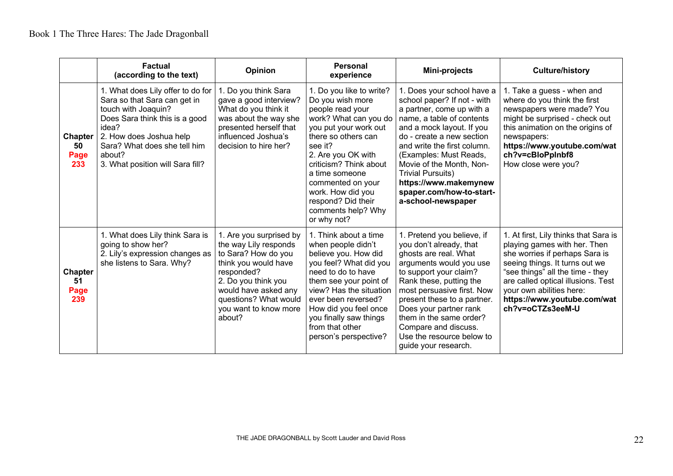|                                     | Factual<br>(according to the text)                                                                                                                                                                                                           | <b>Opinion</b>                                                                                                                                                                                                           | <b>Personal</b><br>experience                                                                                                                                                                                                                                                                                               | Mini-projects                                                                                                                                                                                                                                                                                                                                                             | <b>Culture/history</b>                                                                                                                                                                                                                                                                             |
|-------------------------------------|----------------------------------------------------------------------------------------------------------------------------------------------------------------------------------------------------------------------------------------------|--------------------------------------------------------------------------------------------------------------------------------------------------------------------------------------------------------------------------|-----------------------------------------------------------------------------------------------------------------------------------------------------------------------------------------------------------------------------------------------------------------------------------------------------------------------------|---------------------------------------------------------------------------------------------------------------------------------------------------------------------------------------------------------------------------------------------------------------------------------------------------------------------------------------------------------------------------|----------------------------------------------------------------------------------------------------------------------------------------------------------------------------------------------------------------------------------------------------------------------------------------------------|
| <b>Chapter</b><br>50<br>Page<br>233 | 1. What does Lily offer to do for<br>Sara so that Sara can get in<br>touch with Joaquin?<br>Does Sara think this is a good<br>idea?<br>2. How does Joshua help<br>Sara? What does she tell him<br>about?<br>3. What position will Sara fill? | . Do you think Sara<br>gave a good interview?<br>What do you think it<br>was about the way she<br>presented herself that<br>influenced Joshua's<br>decision to hire her?                                                 | 1. Do you like to write?<br>Do you wish more<br>people read your<br>work? What can you do<br>you put your work out<br>there so others can<br>see it?<br>2. Are you OK with<br>criticism? Think about<br>a time someone<br>commented on your<br>work. How did you<br>respond? Did their<br>comments help? Why<br>or why not? | 1. Does your school have a<br>school paper? If not - with<br>a partner, come up with a<br>name, a table of contents<br>and a mock layout. If you<br>do - create a new section<br>and write the first column.<br>(Examples: Must Reads,<br>Movie of the Month, Non-<br><b>Trivial Pursuits)</b><br>https://www.makemynew<br>spaper.com/how-to-start-<br>a-school-newspaper | 1. Take a guess - when and<br>where do you think the first<br>newspapers were made? You<br>might be surprised - check out<br>this animation on the origins of<br>newspapers:<br>https://www.youtube.com/wat<br>ch?v=cBloPpInbf8<br>How close were you?                                             |
| <b>Chapter</b><br>51<br>Page<br>239 | 1. What does Lily think Sara is<br>going to show her?<br>2. Lily's expression changes as<br>she listens to Sara. Why?                                                                                                                        | 1. Are you surprised by<br>the way Lily responds<br>to Sara? How do you<br>think you would have<br>responded?<br>2. Do you think you<br>would have asked any<br>questions? What would<br>you want to know more<br>about? | 1. Think about a time<br>when people didn't<br>believe you. How did<br>you feel? What did you<br>need to do to have<br>them see your point of<br>view? Has the situation<br>ever been reversed?<br>How did you feel once<br>you finally saw things<br>from that other<br>person's perspective?                              | 1. Pretend you believe, if<br>you don't already, that<br>ghosts are real. What<br>arguments would you use<br>to support your claim?<br>Rank these, putting the<br>most persuasive first. Now<br>present these to a partner.<br>Does your partner rank<br>them in the same order?<br>Compare and discuss.<br>Use the resource below to<br>guide your research.             | 1. At first, Lily thinks that Sara is<br>playing games with her. Then<br>she worries if perhaps Sara is<br>seeing things. It turns out we<br>"see things" all the time - they<br>are called optical illusions. Test<br>your own abilities here:<br>https://www.youtube.com/wat<br>ch?v=oCTZs3eeM-U |